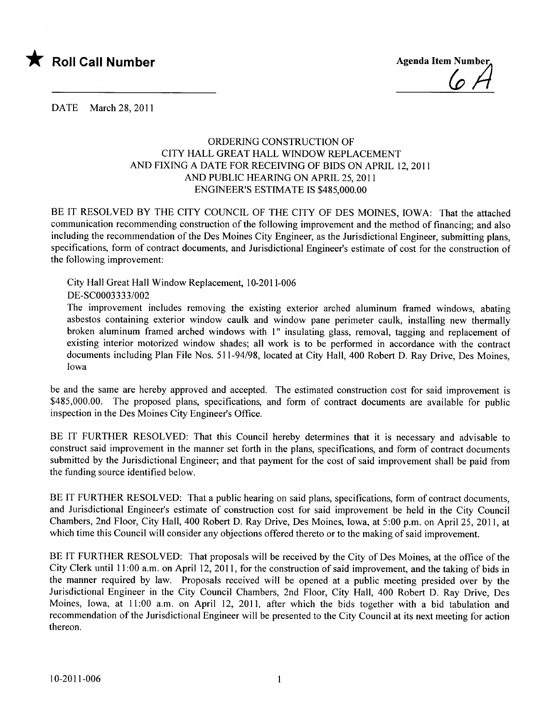

DATE March 28, 2011

## ORDERING CONSTRUCTION OF CITY HALL GREAT HALL WINDOW REPLACEMENT AND FIXING A DATE FOR RECEIVING OF BIDS ON APRIL 12,2011 AND PUBLIC HEARING ON APRIL 25, 2011 ENGINEER'S ESTIMATE IS \$485,000.00

BE IT RESOLVED BY THE CITY COUNCIL OF THE CITY OF DES MOINES, IOWA: That the attached communication recommending construction of the following improvement and the method of financing; and also including the recommendation of the Des Moines City Engineer, as the Jurisdictional Engineer, submitting plans, specifications, form of contract documents, and Jurisdictional Engineer's estimate of cost for the construction of the following improvement:

City Hall Great Hall Window Replacement, 10-2011-006

DE-SC0003333/002

The improvement includes removing the existing exterior arched aluminum framed windows, abating asbestos containing exterior window caulk and window pane perimeter caulk, installing new thermally broken aluminum framed arched windows with 1" insulating glass, removal, tagging and replacement of existing interior motorized window shades; all work is to be performed in accordance with the contract documents including Plan File Nos. 511-94/98, located at City Hall, 400 Robert D. Ray Drive, Des Moines, Iowa

be and the same are hereby approved and accepted. The estimated construction cost for said improvement is \$485,000.00. The proposed plans, specifications, and form of contract documents are available for public inspection in the Des Moines City Engineer's Office.

BE IT FURTHER RESOLVED: That this Council hereby determines that it is necessary and advisable to construct said improvement in the manner set forth in the plans, specifications, and form of contract documents submitted by the Jurisdictional Engineer; and that payment for the cost of said improvement shall be paid from the funding source identified below.

BE IT FURTHER RESOLVED: That a public hearing on said plans, specifications, form of contract documents, and Jurisdictional Engineer's estimate of construction cost for said improvement be held in the City Council Chambers, 2nd Floor, City Hall, 400 Robert D. Ray Drive, Des Moines, Iowa, at 5:00 p.m. on April 25, 2011, at which time this Council will consider any objections offered thereto or to the making of said improvement.

BE IT FURTHER RESOLVED: That proposals will be received by the City of Des Moines, at the office of the City Clerk until 11 :00 a.m. on April 12, 2011, for the construction of said improvement, and the taking of bids in the manner required by law. Proposals received will be opened at a public meeting presided over by the Jurisdictional Engineer in the City Council Chambers, 2nd Floor, City Hall, 400 Robert D. Ray Drive, Des Moines, Iowa, at 11:00 a.m. on April 12, 2011, after which the bids together with a bid tabulation and recommendation of the Jurisdictional Engineer will be presented to the City Council at its next meeting for action thereon.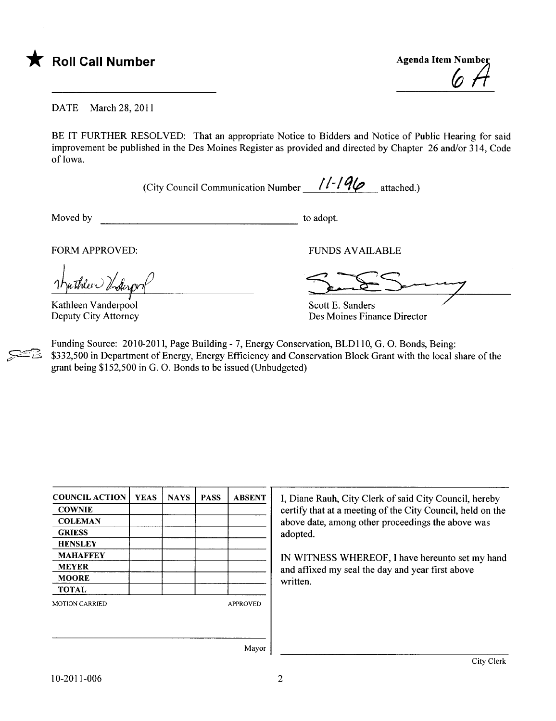

DATE March 28, 2011

BE IT FURTHER RESOLVED: That an appropriate Notice to Bidders and Notice of Public Hearing for said improvement be published in the Des Moines Register as provided and directed by Chapter 26 and/or 314, Code of Iowa.

(City Council Communication Number  $1/-/9\varphi$  attached.)

Moved by to adopt.

FORM APPROVED: THE RESERVED OF THE RESERVED OF THE RESERVED OF THE RESERVED OF THE RESERVED OF THE RESERVED OF THE RESERVED OF THE RESERVED OF THE RESERVED OF THE RESERVED OF THE RESERVED OF THE RESERVED OF THE RESERVED OF

uthleen Underpr

Kathleen Vanderpool Deputy City Attorney

FUNDS AVAILABLE

Des Moines Finance Director

Funding Source: 2010-2011, Page Building - 7, Energy Conservation, BLDII0, G. O. Bonds, Being: \$332,500 in Department of Energy, Energy Efficiency and Conservation Block Grant with the local share of the grant being \$152,500 in G. O. Bonds to be issued (Unbudgeted)

| <b>COUNCIL ACTION</b> | <b>YEAS</b> | <b>NAYS</b> | <b>PASS</b> | <b>ABSENT</b>       |
|-----------------------|-------------|-------------|-------------|---------------------|
| <b>COWNIE</b>         |             |             |             |                     |
| <b>COLEMAN</b>        |             |             |             |                     |
| <b>GRIESS</b>         |             |             |             |                     |
| <b>HENSLEY</b>        |             |             |             |                     |
| <b>MAHAFFEY</b>       |             |             |             |                     |
| <b>MEYER</b>          |             |             |             |                     |
| <b>MOORE</b>          |             |             |             |                     |
| <b>TOTAL</b>          |             |             |             |                     |
| <b>MOTION CARRIED</b> |             |             |             | <b>APPROVED</b>     |
|                       |             |             |             |                     |
|                       |             |             |             | $M$ <sub>ayar</sub> |

I, Diane Rauh, City Clerk of said City Council, hereby certify that at a meeting of the City Council, held on the above date, among other proceedings the above was adopted.

IN WITNESS WHEREOF, I have hereunto set my hand and affixed my seal the day and year first above written.

Mayor